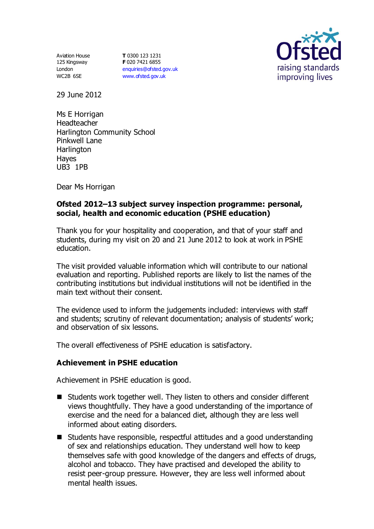Aviation House 125 Kingsway London WC2B 6SE

**T** 0300 123 1231 **F** 020 7421 6855 [enquiries@ofsted.gov.uk](mailto:enquiries@ofsted.gov.uk) [www.ofsted.gov.uk](http://www.ofsted.gov.uk/)



29 June 2012

Ms E Horrigan Headteacher Harlington Community School Pinkwell Lane **Harlington** Hayes UB3 1PB

Dear Ms Horrigan

## **Ofsted 2012–13 subject survey inspection programme: personal, social, health and economic education (PSHE education)**

Thank you for your hospitality and cooperation, and that of your staff and students, during my visit on 20 and 21 June 2012 to look at work in PSHE education.

The visit provided valuable information which will contribute to our national evaluation and reporting. Published reports are likely to list the names of the contributing institutions but individual institutions will not be identified in the main text without their consent.

The evidence used to inform the judgements included: interviews with staff and students; scrutiny of relevant documentation; analysis of students' work; and observation of six lessons.

The overall effectiveness of PSHE education is satisfactory.

### **Achievement in PSHE education**

Achievement in PSHE education is good.

- Students work together well. They listen to others and consider different views thoughtfully. They have a good understanding of the importance of exercise and the need for a balanced diet, although they are less well informed about eating disorders.
- Students have responsible, respectful attitudes and a good understanding of sex and relationships education. They understand well how to keep themselves safe with good knowledge of the dangers and effects of drugs, alcohol and tobacco. They have practised and developed the ability to resist peer-group pressure. However, they are less well informed about mental health issues.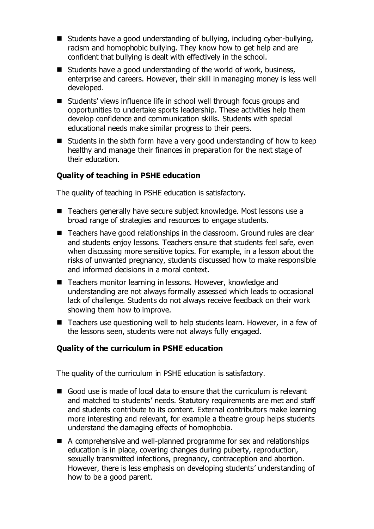- Students have a good understanding of bullying, including cyber-bullying, racism and homophobic bullying. They know how to get help and are confident that bullying is dealt with effectively in the school.
- $\blacksquare$  Students have a good understanding of the world of work, business, enterprise and careers. However, their skill in managing money is less well developed.
- Students' views influence life in school well through focus groups and opportunities to undertake sports leadership. These activities help them develop confidence and communication skills. Students with special educational needs make similar progress to their peers.
- $\blacksquare$  Students in the sixth form have a very good understanding of how to keep healthy and manage their finances in preparation for the next stage of their education.

# **Quality of teaching in PSHE education**

The quality of teaching in PSHE education is satisfactory.

- Teachers generally have secure subject knowledge. Most lessons use a broad range of strategies and resources to engage students.
- Teachers have good relationships in the classroom. Ground rules are clear and students enjoy lessons. Teachers ensure that students feel safe, even when discussing more sensitive topics. For example, in a lesson about the risks of unwanted pregnancy, students discussed how to make responsible and informed decisions in a moral context.
- Teachers monitor learning in lessons. However, knowledge and understanding are not always formally assessed which leads to occasional lack of challenge. Students do not always receive feedback on their work showing them how to improve.
- Teachers use questioning well to help students learn. However, in a few of the lessons seen, students were not always fully engaged.

### **Quality of the curriculum in PSHE education**

The quality of the curriculum in PSHE education is satisfactory.

- Good use is made of local data to ensure that the curriculum is relevant and matched to students' needs. Statutory requirements are met and staff and students contribute to its content. External contributors make learning more interesting and relevant, for example a theatre group helps students understand the damaging effects of homophobia.
- A comprehensive and well-planned programme for sex and relationships education is in place, covering changes during puberty, reproduction, sexually transmitted infections, pregnancy, contraception and abortion. However, there is less emphasis on developing students' understanding of how to be a good parent.